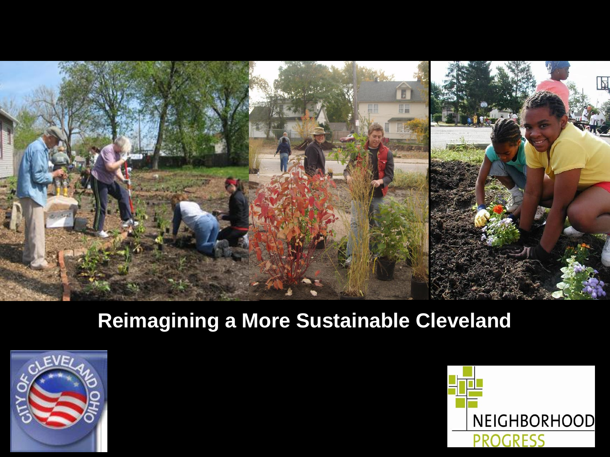

# **Reimagining a More Sustainable Cleveland**



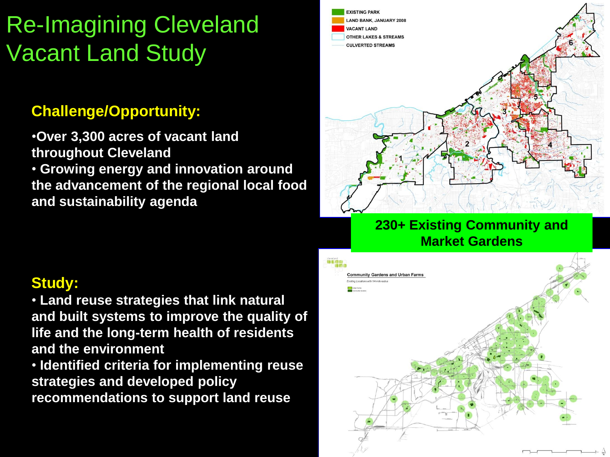# Re-Imagining Cleveland Vacant Land Study

### **Challenge/Opportunity:**

•**Over 3,300 acres of vacant land throughout Cleveland**  • **Growing energy and innovation around the advancement of the regional local food and sustainability agenda**

### **Study:**

• **Land reuse strategies that link natural and built systems to improve the quality of life and the long-term health of residents and the environment**

• **Identified criteria for implementing reuse strategies and developed policy recommendations to support land reuse**



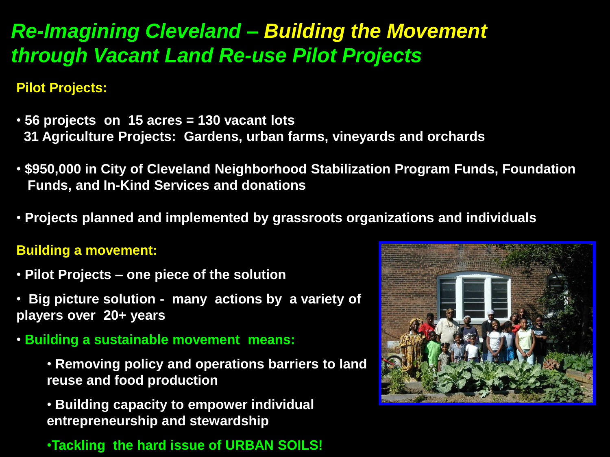# *Re-Imagining Cleveland – Building the Movement through Vacant Land Re-use Pilot Projects*

#### **Pilot Projects:**

- **56 projects on 15 acres = 130 vacant lots 31 Agriculture Projects: Gardens, urban farms, vineyards and orchards**
- **\$950,000 in City of Cleveland Neighborhood Stabilization Program Funds, Foundation Funds, and In-Kind Services and donations**
- **Projects planned and implemented by grassroots organizations and individuals**

#### **Building a movement:**

- **Pilot Projects – one piece of the solution**
- **Big picture solution many actions by a variety of players over 20+ years**
- **Building a sustainable movement means:**
	- **Removing policy and operations barriers to land reuse and food production**
	- **Building capacity to empower individual entrepreneurship and stewardship**
	- •**Tackling the hard issue of URBAN SOILS!**

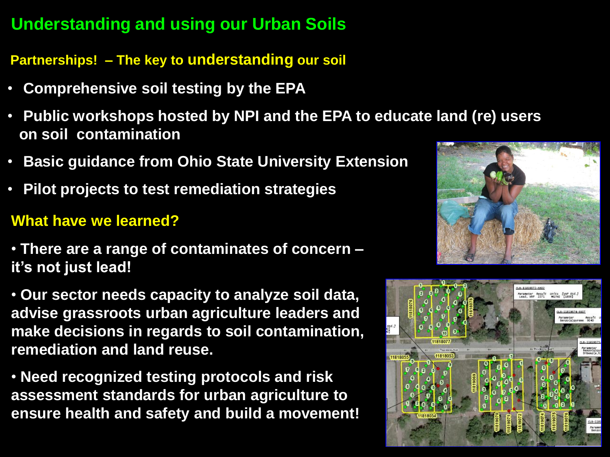## **Understanding and using our Urban Soils**

**Partnerships! – The key to understanding our soil**

- **Comprehensive soil testing by the EPA**
- **Public workshops hosted by NPI and the EPA to educate land (re) users on soil contamination**
- **Basic guidance from Ohio State University Extension**
- **Pilot projects to test remediation strategies**

### **What have we learned?**

- **There are a range of contaminates of concern – it's not just lead!**
- **Our sector needs capacity to analyze soil data, advise grassroots urban agriculture leaders and make decisions in regards to soil contamination, remediation and land reuse.**
- **Need recognized testing protocols and risk assessment standards for urban agriculture to ensure health and safety and build a movement!**